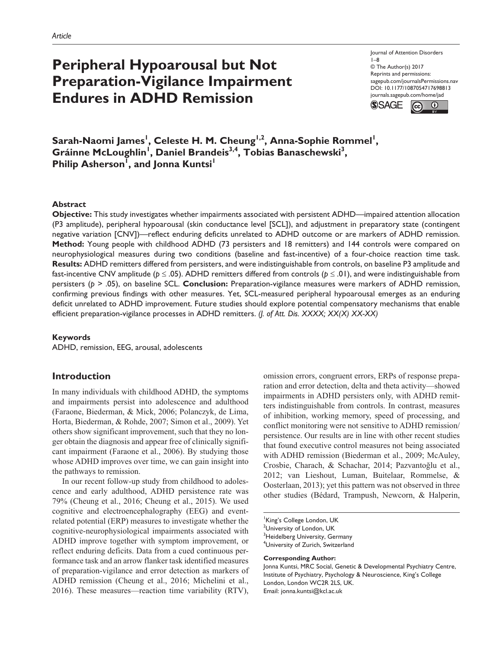# **Peripheral Hypoarousal but Not Preparation-Vigilance Impairment Endures in ADHD Remission**

https://doi.org/10.1177/1087054717698813 DOI: 10.1177/1087054717698813 Journal of Attention Disorders 1–8 © The Author(s) 2017 Reprints and permissions: [sagepub.com/journalsPermissions.nav](https://us.sagepub.com/en-us/journals-permissions) [journals.sagepub.com/home/jad](https://journals.sagepub.com/home/jad)



 $\mathsf{Sarah\text{-}Naomi\; James}^!$ , Celeste H. M. Cheung<sup>1,2</sup>, Anna-Sophie Rommel<sup>1</sup>, Gráinne McLoughlin<sup>1</sup>, Daniel Brandeis<sup>3,4</sup>, Tobias Banaschewski<sup>3</sup>, Philip Asherson<sup>I</sup>, and Jonna Kuntsi<sup>1</sup>

#### **Abstract**

**Objective:** This study investigates whether impairments associated with persistent ADHD—impaired attention allocation (P3 amplitude), peripheral hypoarousal (skin conductance level [SCL]), and adjustment in preparatory state (contingent negative variation [CNV])—reflect enduring deficits unrelated to ADHD outcome or are markers of ADHD remission. **Method:** Young people with childhood ADHD (73 persisters and 18 remitters) and 144 controls were compared on neurophysiological measures during two conditions (baseline and fast-incentive) of a four-choice reaction time task. **Results:** ADHD remitters differed from persisters, and were indistinguishable from controls, on baseline P3 amplitude and fast-incentive CNV amplitude ( $p \le .05$ ). ADHD remitters differed from controls ( $p \le .01$ ), and were indistinguishable from persisters (*p* > .05), on baseline SCL. **Conclusion:** Preparation-vigilance measures were markers of ADHD remission, confirming previous findings with other measures. Yet, SCL-measured peripheral hypoarousal emerges as an enduring deficit unrelated to ADHD improvement. Future studies should explore potential compensatory mechanisms that enable efficient preparation-vigilance processes in ADHD remitters. *(J. of Att. Dis. XXXX; XX(X) XX-XX)*

#### **Keywords**

ADHD, remission, EEG, arousal, adolescents

## **Introduction**

In many individuals with childhood ADHD, the symptoms and impairments persist into adolescence and adulthood (Faraone, Biederman, & Mick, 2006; Polanczyk, de Lima, Horta, Biederman, & Rohde, 2007; Simon et al., 2009). Yet others show significant improvement, such that they no longer obtain the diagnosis and appear free of clinically significant impairment (Faraone et al., 2006). By studying those whose ADHD improves over time, we can gain insight into the pathways to remission.

In our recent follow-up study from childhood to adolescence and early adulthood, ADHD persistence rate was 79% (Cheung et al., 2016; Cheung et al., 2015). We used cognitive and electroencephalography (EEG) and eventrelated potential (ERP) measures to investigate whether the cognitive-neurophysiological impairments associated with ADHD improve together with symptom improvement, or reflect enduring deficits. Data from a cued continuous performance task and an arrow flanker task identified measures of preparation-vigilance and error detection as markers of ADHD remission (Cheung et al., 2016; Michelini et al., 2016). These measures—reaction time variability (RTV), omission errors, congruent errors, ERPs of response preparation and error detection, delta and theta activity—showed impairments in ADHD persisters only, with ADHD remitters indistinguishable from controls. In contrast, measures of inhibition, working memory, speed of processing, and conflict monitoring were not sensitive to ADHD remission/ persistence. Our results are in line with other recent studies that found executive control measures not being associated with ADHD remission (Biederman et al., 2009; McAuley, Crosbie, Charach, & Schachar, 2014; Pazvantoğlu et al., 2012; van Lieshout, Luman, Buitelaar, Rommelse, & Oosterlaan, 2013); yet this pattern was not observed in three other studies (Bédard, Trampush, Newcorn, & Halperin,

King's College London, UK <sup>2</sup>University of London, UK <sup>3</sup>Heidelberg University, Germany 4 University of Zurich, Switzerland

#### **Corresponding Author:**

Jonna Kuntsi, MRC Social, Genetic & Developmental Psychiatry Centre, Institute of Psychiatry, Psychology & Neuroscience, King's College London, London WC2R 2LS, UK. Email: jonna.kuntsi@kcl.ac.uk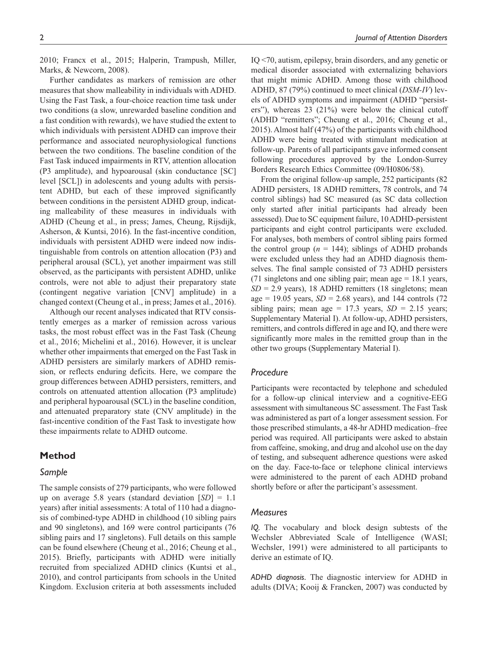2010; Francx et al., 2015; Halperin, Trampush, Miller, Marks, & Newcorn, 2008).

Further candidates as markers of remission are other measures that show malleability in individuals with ADHD. Using the Fast Task, a four-choice reaction time task under two conditions (a slow, unrewarded baseline condition and a fast condition with rewards), we have studied the extent to which individuals with persistent ADHD can improve their performance and associated neurophysiological functions between the two conditions. The baseline condition of the Fast Task induced impairments in RTV, attention allocation (P3 amplitude), and hypoarousal (skin conductance [SC] level [SCL]) in adolescents and young adults with persistent ADHD, but each of these improved significantly between conditions in the persistent ADHD group, indicating malleability of these measures in individuals with ADHD (Cheung et al., in press; James, Cheung, Rijsdijk, Asherson, & Kuntsi, 2016). In the fast-incentive condition, individuals with persistent ADHD were indeed now indistinguishable from controls on attention allocation (P3) and peripheral arousal (SCL), yet another impairment was still observed, as the participants with persistent ADHD, unlike controls, were not able to adjust their preparatory state (contingent negative variation [CNV] amplitude) in a changed context (Cheung et al., in press; James et al., 2016).

Although our recent analyses indicated that RTV consistently emerges as a marker of remission across various tasks, the most robust effect was in the Fast Task (Cheung et al., 2016; Michelini et al., 2016). However, it is unclear whether other impairments that emerged on the Fast Task in ADHD persisters are similarly markers of ADHD remission, or reflects enduring deficits. Here, we compare the group differences between ADHD persisters, remitters, and controls on attenuated attention allocation (P3 amplitude) and peripheral hypoarousal (SCL) in the baseline condition, and attenuated preparatory state (CNV amplitude) in the fast-incentive condition of the Fast Task to investigate how these impairments relate to ADHD outcome.

# **Method**

## *Sample*

The sample consists of 279 participants, who were followed up on average 5.8 years (standard deviation [*SD*] = 1.1 years) after initial assessments: A total of 110 had a diagnosis of combined-type ADHD in childhood (10 sibling pairs and 90 singletons), and 169 were control participants (76 sibling pairs and 17 singletons). Full details on this sample can be found elsewhere (Cheung et al., 2016; Cheung et al., 2015). Briefly, participants with ADHD were initially recruited from specialized ADHD clinics (Kuntsi et al., 2010), and control participants from schools in the United Kingdom. Exclusion criteria at both assessments included

IQ <70, autism, epilepsy, brain disorders, and any genetic or medical disorder associated with externalizing behaviors that might mimic ADHD. Among those with childhood ADHD, 87 (79%) continued to meet clinical (*DSM-IV*) levels of ADHD symptoms and impairment (ADHD "persisters"), whereas 23 (21%) were below the clinical cutoff (ADHD "remitters"; Cheung et al., 2016; Cheung et al., 2015). Almost half (47%) of the participants with childhood ADHD were being treated with stimulant medication at follow-up. Parents of all participants gave informed consent following procedures approved by the London-Surrey Borders Research Ethics Committee (09/H0806/58).

From the original follow-up sample, 252 participants (82 ADHD persisters, 18 ADHD remitters, 78 controls, and 74 control siblings) had SC measured (as SC data collection only started after initial participants had already been assessed). Due to SC equipment failure, 10 ADHD-persistent participants and eight control participants were excluded. For analyses, both members of control sibling pairs formed the control group ( $n = 144$ ); siblings of ADHD probands were excluded unless they had an ADHD diagnosis themselves. The final sample consisted of 73 ADHD persisters (71 singletons and one sibling pair; mean age  $= 18.1$  years, *SD* = 2.9 years), 18 ADHD remitters (18 singletons; mean age = 19.05 years,  $SD = 2.68$  years), and 144 controls (72) sibling pairs; mean age  $= 17.3$  years,  $SD = 2.15$  years; Supplementary Material I). At follow-up, ADHD persisters, remitters, and controls differed in age and IQ, and there were significantly more males in the remitted group than in the other two groups (Supplementary Material I).

## *Procedure*

Participants were recontacted by telephone and scheduled for a follow-up clinical interview and a cognitive-EEG assessment with simultaneous SC assessment. The Fast Task was administered as part of a longer assessment session. For those prescribed stimulants, a 48-hr ADHD medication–free period was required. All participants were asked to abstain from caffeine, smoking, and drug and alcohol use on the day of testing, and subsequent adherence questions were asked on the day. Face-to-face or telephone clinical interviews were administered to the parent of each ADHD proband shortly before or after the participant's assessment.

#### *Measures*

*IQ.* The vocabulary and block design subtests of the Wechsler Abbreviated Scale of Intelligence (WASI; Wechsler, 1991) were administered to all participants to derive an estimate of IQ.

*ADHD diagnosis.* The diagnostic interview for ADHD in adults (DIVA; Kooij & Francken, 2007) was conducted by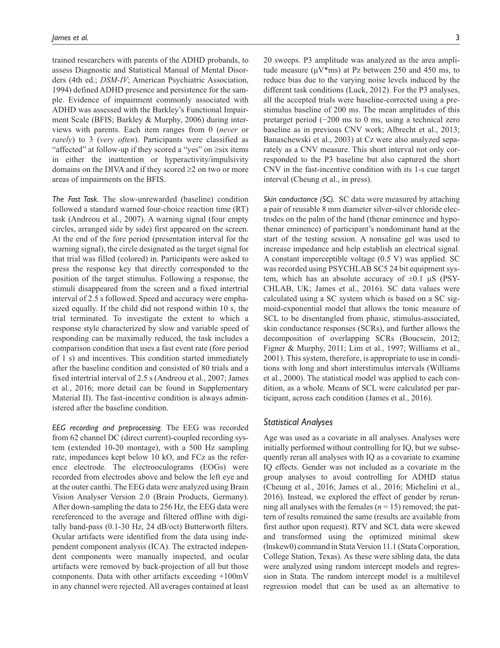trained researchers with parents of the ADHD probands, to assess Diagnostic and Statistical Manual of Mental Disorders (4th ed.; *DSM-IV*; American Psychiatric Association, 1994) defined ADHD presence and persistence for the sample. Evidence of impairment commonly associated with ADHD was assessed with the Barkley's Functional Impairment Scale (BFIS; Barkley & Murphy, 2006) during interviews with parents. Each item ranges from 0 (*never* or *rarely*) to 3 (*very often*). Participants were classified as "affected" at follow-up if they scored a "yes" on ≥six items in either the inattention or hyperactivity/impulsivity domains on the DIVA and if they scored ≥2 on two or more areas of impairments on the BFIS.

*The Fast Task.* The slow-unrewarded (baseline) condition followed a standard warned four-choice reaction time (RT) task (Andreou et al., 2007). A warning signal (four empty circles, arranged side by side) first appeared on the screen. At the end of the fore period (presentation interval for the warning signal), the circle designated as the target signal for that trial was filled (colored) in. Participants were asked to press the response key that directly corresponded to the position of the target stimulus. Following a response, the stimuli disappeared from the screen and a fixed intertrial interval of 2.5 s followed. Speed and accuracy were emphasized equally. If the child did not respond within 10 s, the trial terminated. To investigate the extent to which a response style characterized by slow and variable speed of responding can be maximally reduced, the task includes a comparison condition that uses a fast event rate (fore period of 1 s) and incentives. This condition started immediately after the baseline condition and consisted of 80 trials and a fixed intertrial interval of 2.5 s (Andreou et al., 2007; James et al., 2016; more detail can be found in Supplementary Material II). The fast-incentive condition is always administered after the baseline condition.

*EEG recording and preprocessing.* The EEG was recorded from 62 channel DC (direct current)-coupled recording system (extended 10-20 montage), with a 500 Hz sampling rate, impedances kept below 10 kO, and FCz as the reference electrode. The electrooculograms (EOGs) were recorded from electrodes above and below the left eye and at the outer canthi. The EEG data were analyzed using Brain Vision Analyser Version 2.0 (Brain Products, Germany). After down-sampling the data to 256 Hz, the EEG data were rereferenced to the average and filtered offline with digitally band-pass (0.1-30 Hz, 24 dB/oct) Butterworth filters. Ocular artifacts were identified from the data using independent component analysis (ICA). The extracted independent components were manually inspected, and ocular artifacts were removed by back-projection of all but those components. Data with other artifacts exceeding +100mV in any channel were rejected. All averages contained at least 20 sweeps. P3 amplitude was analyzed as the area amplitude measure ( $\mu$ V\*ms) at Pz between 250 and 450 ms, to reduce bias due to the varying noise levels induced by the different task conditions (Luck, 2012). For the P3 analyses, all the accepted trials were baseline-corrected using a prestimulus baseline of 200 ms. The mean amplitudes of this pretarget period (−200 ms to 0 ms, using a technical zero baseline as in previous CNV work; Albrecht et al., 2013; Banaschewski et al., 2003) at Cz were also analyzed separately as a CNV measure. This short interval not only corresponded to the P3 baseline but also captured the short CNV in the fast-incentive condition with its 1-s cue target interval (Cheung et al., in press).

*Skin conductance (SC).* SC data were measured by attaching a pair of reusable 8 mm diameter silver-silver chloride electrodes on the palm of the hand (thenar eminence and hypothenar eminence) of participant's nondominant hand at the start of the testing session. A nonsaline gel was used to increase impedance and help establish an electrical signal. A constant imperceptible voltage (0.5 V) was applied. SC was recorded using PSYCHLAB SC5 24 bit equipment system, which has an absolute accuracy of  $\pm 0.1$   $\mu$ S (PSY-CHLAB, UK; James et al., 2016). SC data values were calculated using a SC system which is based on a SC sigmoid-exponential model that allows the tonic measure of SCL to be disentangled from phasic, stimulus-associated, skin conductance responses (SCRs), and further allows the decomposition of overlapping SCRs (Boucsein, 2012; Figner & Murphy, 2011; Lim et al., 1997; Williams et al., 2001). This system, therefore, is appropriate to use in conditions with long and short interstimulus intervals (Williams et al., 2000). The statistical model was applied to each condition, as a whole. Means of SCL were calculated per participant, across each condition (James et al., 2016).

## *Statistical Analyses*

Age was used as a covariate in all analyses. Analyses were initially performed without controlling for IQ, but we subsequently reran all analyses with IQ as a covariate to examine IQ effects. Gender was not included as a covariate in the group analyses to avoid controlling for ADHD status (Cheung et al., 2016; James et al., 2016; Michelini et al., 2016). Instead, we explored the effect of gender by rerunning all analyses with the females  $(n = 15)$  removed; the pattern of results remained the same (results are available from first author upon request). RTV and SCL data were skewed and transformed using the optimized minimal skew (lnskew0) command in Stata Version 11.1 (Stata Corporation, College Station, Texas). As these were sibling data, the data were analyzed using random intercept models and regression in Stata. The random intercept model is a multilevel regression model that can be used as an alternative to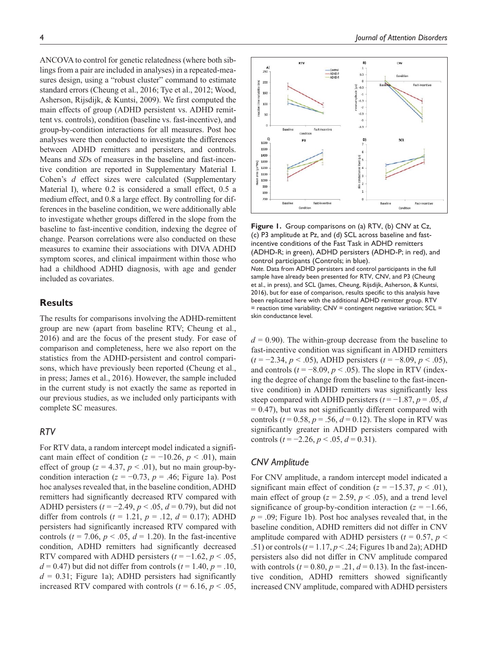ANCOVA to control for genetic relatedness (where both siblings from a pair are included in analyses) in a repeated-measures design, using a "robust cluster" command to estimate standard errors (Cheung et al., 2016; Tye et al., 2012; Wood, Asherson, Rijsdijk, & Kuntsi, 2009). We first computed the main effects of group (ADHD persistent vs. ADHD remittent vs. controls), condition (baseline vs. fast-incentive), and group-by-condition interactions for all measures. Post hoc analyses were then conducted to investigate the differences between ADHD remitters and persisters, and controls. Means and *SD*s of measures in the baseline and fast-incentive condition are reported in Supplementary Material I. Cohen's *d* effect sizes were calculated (Supplementary Material I), where 0.2 is considered a small effect, 0.5 a medium effect, and 0.8 a large effect. By controlling for differences in the baseline condition, we were additionally able to investigate whether groups differed in the slope from the baseline to fast-incentive condition, indexing the degree of change. Pearson correlations were also conducted on these measures to examine their associations with DIVA ADHD symptom scores, and clinical impairment within those who had a childhood ADHD diagnosis, with age and gender included as covariates.

# **Results**

The results for comparisons involving the ADHD-remittent group are new (apart from baseline RTV; Cheung et al., 2016) and are the focus of the present study. For ease of comparison and completeness, here we also report on the statistics from the ADHD-persistent and control comparisons, which have previously been reported (Cheung et al., in press; James et al., 2016). However, the sample included in the current study is not exactly the same as reported in our previous studies, as we included only participants with complete SC measures.

## *RTV*

For RTV data, a random intercept model indicated a significant main effect of condition  $(z = -10.26, p < .01)$ , main effect of group ( $z = 4.37$ ,  $p < .01$ ), but no main group-bycondition interaction ( $z = -0.73$ ,  $p = .46$ ; Figure 1a). Post hoc analyses revealed that, in the baseline condition, ADHD remitters had significantly decreased RTV compared with ADHD persisters (*t* = −2.49, *p* < .05, *d* = 0.79), but did not differ from controls  $(t = 1.21, p = .12, d = 0.17)$ ; ADHD persisters had significantly increased RTV compared with controls ( $t = 7.06$ ,  $p < .05$ ,  $d = 1.20$ ). In the fast-incentive condition, ADHD remitters had significantly decreased RTV compared with ADHD persisters  $(t = -1.62, p < .05,$  $d = 0.47$ ) but did not differ from controls ( $t = 1.40$ ,  $p = .10$ ,  $d = 0.31$ ; Figure 1a); ADHD persisters had significantly increased RTV compared with controls ( $t = 6.16$ ,  $p < .05$ ,



**Figure 1.** Group comparisons on (a) RTV, (b) CNV at Cz, (c) P3 amplitude at Pz, and (d) SCL across baseline and fastincentive conditions of the Fast Task in ADHD remitters (ADHD-R; in green), ADHD persisters (ADHD-P; in red), and control participants (Controls; in blue). *Note.* Data from ADHD persisters and control participants in the full sample have already been presented for RTV, CNV, and P3 (Cheung et al., in press), and SCL (James, Cheung, Rijsdijk, Asherson, & Kuntsi, 2016), but for ease of comparison, results specific to this analysis have been replicated here with the additional ADHD remitter group. RTV  $=$  reaction time variability; CNV  $=$  contingent negative variation; SCL  $=$ skin conductance level.

 $d = 0.90$ . The within-group decrease from the baseline to fast-incentive condition was significant in ADHD remitters (*t* = −2.34, *p* < .05), ADHD persisters (*t* = −8.09, *p* < .05), and controls  $(t = -8.09, p < .05)$ . The slope in RTV (indexing the degree of change from the baseline to the fast-incentive condition) in ADHD remitters was significantly less steep compared with ADHD persisters  $(t = -1.87, p = .05, d$  $= 0.47$ ), but was not significantly different compared with controls ( $t = 0.58$ ,  $p = .56$ ,  $d = 0.12$ ). The slope in RTV was significantly greater in ADHD persisters compared with controls  $(t = -2.26, p < .05, d = 0.31)$ .

## *CNV Amplitude*

For CNV amplitude, a random intercept model indicated a significant main effect of condition  $(z = -15.37, p < .01)$ , main effect of group ( $z = 2.59$ ,  $p < .05$ ), and a trend level significance of group-by-condition interaction  $(z = -1.66$ ,  $p = .09$ ; Figure 1b). Post hoc analyses revealed that, in the baseline condition, ADHD remitters did not differ in CNV amplitude compared with ADHD persisters  $(t = 0.57, p <$ .51) or controls (*t* = 1.17, *p* < .24; Figures 1b and 2a); ADHD persisters also did not differ in CNV amplitude compared with controls ( $t = 0.80$ ,  $p = .21$ ,  $d = 0.13$ ). In the fast-incentive condition, ADHD remitters showed significantly increased CNV amplitude, compared with ADHD persisters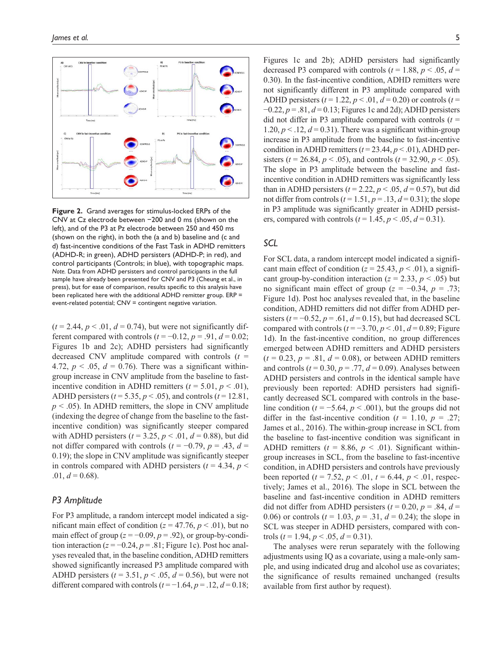**Figure 2.** Grand averages for stimulus-locked ERPs of the CNV at Cz electrode between −200 and 0 ms (shown on the left), and of the P3 at Pz electrode between 250 and 450 ms (shown on the right), in both the (a and b) baseline and (c and d) fast-incentive conditions of the Fast Task in ADHD remitters (ADHD-R; in green), ADHD persisters (ADHD-P; in red), and control participants (Controls; in blue), with topographic maps. *Note.* Data from ADHD persisters and control participants in the full sample have already been presented for CNV and P3 (Cheung et al., in press), but for ease of comparison, results specific to this analysis have been replicated here with the additional ADHD remitter group. ERP = event-related potential; CNV = contingent negative variation.

 $(t = 2.44, p < .01, d = 0.74)$ , but were not significantly different compared with controls  $(t = -0.12, p = .91, d = 0.02;$ Figures 1b and 2c); ADHD persisters had significantly decreased CNV amplitude compared with controls (*t* = 4.72,  $p < .05$ ,  $d = 0.76$ ). There was a significant withingroup increase in CNV amplitude from the baseline to fastincentive condition in ADHD remitters  $(t = 5.01, p < .01)$ , ADHD persisters (*t* = 5.35, *p* < .05), and controls (*t* = 12.81,  $p < .05$ ). In ADHD remitters, the slope in CNV amplitude (indexing the degree of change from the baseline to the fastincentive condition) was significantly steeper compared with ADHD persisters  $(t = 3.25, p < .01, d = 0.88)$ , but did not differ compared with controls  $(t = -0.79, p = .43, d =$ 0.19); the slope in CNV amplitude was significantly steeper in controls compared with ADHD persisters  $(t = 4.34, p <$  $.01, d = 0.68$ .

## *P3 Amplitude*

For P3 amplitude, a random intercept model indicated a significant main effect of condition ( $z = 47.76$ ,  $p < .01$ ), but no main effect of group ( $z = -0.09$ ,  $p = .92$ ), or group-by-condition interaction  $(z = -0.24, p = .81;$  Figure 1c). Post hoc analyses revealed that, in the baseline condition, ADHD remitters showed significantly increased P3 amplitude compared with ADHD persisters  $(t = 3.51, p < .05, d = 0.56)$ , but were not different compared with controls  $(t = -1.64, p = .12, d = 0.18;$  Figures 1c and 2b); ADHD persisters had significantly decreased P3 compared with controls ( $t = 1.88$ ,  $p < .05$ ,  $d =$ 0.30). In the fast-incentive condition, ADHD remitters were not significantly different in P3 amplitude compared with ADHD persisters  $(t = 1.22, p < .01, d = 0.20)$  or controls  $(t = 1.22, p < .01, d = 0.20)$ −0.22, *p* = .81, *d* = 0.13; Figures 1c and 2d); ADHD persisters did not differ in P3 amplitude compared with controls  $(t =$ 1.20,  $p < 1.2$ ,  $d = 0.31$ ). There was a significant within-group increase in P3 amplitude from the baseline to fast-incentive condition in ADHD remitters  $(t = 23.44, p < .01)$ , ADHD persisters ( $t = 26.84$ ,  $p < .05$ ), and controls ( $t = 32.90$ ,  $p < .05$ ). The slope in P3 amplitude between the baseline and fastincentive condition in ADHD remitters was significantly less than in ADHD persisters  $(t = 2.22, p < .05, d = 0.57)$ , but did not differ from controls  $(t = 1.51, p = .13, d = 0.31)$ ; the slope in P3 amplitude was significantly greater in ADHD persisters, compared with controls ( $t = 1.45$ ,  $p < .05$ ,  $d = 0.31$ ).

## *SCL*

For SCL data, a random intercept model indicated a significant main effect of condition ( $z = 25.43$ ,  $p < .01$ ), a significant group-by-condition interaction ( $z = 2.33$ ,  $p < .05$ ) but no significant main effect of group (*z* = −0.34, *p* = .73; Figure 1d). Post hoc analyses revealed that, in the baseline condition, ADHD remitters did not differ from ADHD persisters  $(t = -0.52, p = .61, d = 0.15)$ , but had decreased SCL compared with controls  $(t = -3.70, p < .01, d = 0.89;$  Figure 1d). In the fast-incentive condition, no group differences emerged between ADHD remitters and ADHD persisters  $(t = 0.23, p = .81, d = 0.08)$ , or between ADHD remitters and controls  $(t = 0.30, p = .77, d = 0.09)$ . Analyses between ADHD persisters and controls in the identical sample have previously been reported: ADHD persisters had significantly decreased SCL compared with controls in the baseline condition ( $t = -5.64$ ,  $p < .001$ ), but the groups did not differ in the fast-incentive condition ( $t = 1.10$ ,  $p = .27$ ; James et al., 2016). The within-group increase in SCL from the baseline to fast-incentive condition was significant in ADHD remitters  $(t = 8.86, p < .01)$ . Significant withingroup increases in SCL, from the baseline to fast-incentive condition, in ADHD persisters and controls have previously been reported ( $t = 7.52$ ,  $p < .01$ ,  $t = 6.44$ ,  $p < .01$ , respectively; James et al., 2016). The slope in SCL between the baseline and fast-incentive condition in ADHD remitters did not differ from ADHD persisters  $(t = 0.20, p = .84, d =$ 0.06) or controls  $(t = 1.03, p = .31, d = 0.24)$ ; the slope in SCL was steeper in ADHD persisters, compared with controls ( $t = 1.94$ ,  $p < .05$ ,  $d = 0.31$ ).

The analyses were rerun separately with the following adjustments using IQ as a covariate, using a male-only sample, and using indicated drug and alcohol use as covariates; the significance of results remained unchanged (results available from first author by request).

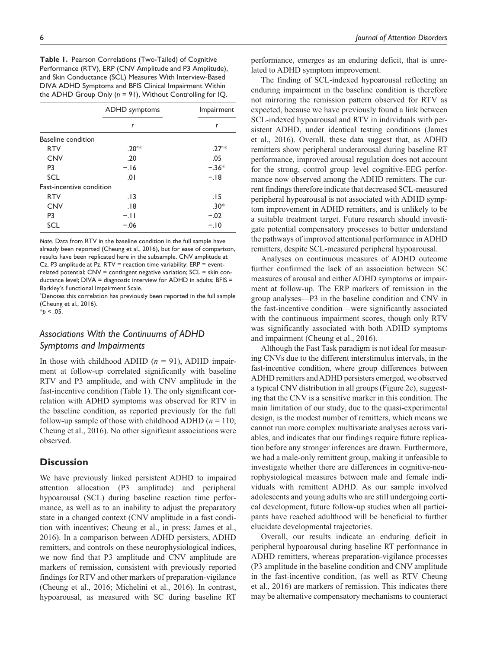**Table 1.** Pearson Correlations (Two-Tailed) of Cognitive Performance (RTV), ERP (CNV Amplitude and P3 Amplitude), and Skin Conductance (SCL) Measures With Interview-Based DIVA ADHD Symptoms and BFIS Clinical Impairment Within the ADHD Group Only (*n* = 91), Without Controlling for IQ.

|                          | <b>ADHD</b> symptoms | Impairment<br>r |
|--------------------------|----------------------|-----------------|
|                          | r                    |                 |
| Baseline condition       |                      |                 |
| <b>RTV</b>               | $.20^{a*}$           | $.27^{a*}$      |
| <b>CNV</b>               | .20                  | .05             |
| P <sub>3</sub>           | $-.16$               | $-.36*$         |
| <b>SCL</b>               | .01                  | $-.18$          |
| Fast-incentive condition |                      |                 |
| <b>RTV</b>               | .13                  | .15             |
| <b>CNV</b>               | .18                  | $.30*$          |
| P <sub>3</sub>           | $-.11$               | $-.02$          |
| SCL                      | $-.06$               | $-.10$          |

*Note.* Data from RTV in the baseline condition in the full sample have already been reported (Cheung et al., 2016), but for ease of comparison, results have been replicated here in the subsample. CNV amplitude at Cz, P3 amplitude at Pz.  $RTV =$  reaction time variability;  $ERP = event$ related potential;  $CNV =$  contingent negative variation;  $SCL =$  skin conductance level; DIVA = diagnostic interview for ADHD in adults; BFIS = Barkley's Functional Impairment Scale.

<sup>a</sup>Denotes this correlation has previously been reported in the full sample (Cheung et al., 2016).

 $*_{p}$  < .05.

# *Associations With the Continuums of ADHD Symptoms and Impairments*

In those with childhood ADHD  $(n = 91)$ , ADHD impairment at follow-up correlated significantly with baseline RTV and P3 amplitude, and with CNV amplitude in the fast-incentive condition (Table 1). The only significant correlation with ADHD symptoms was observed for RTV in the baseline condition, as reported previously for the full follow-up sample of those with childhood ADHD ( $n = 110$ ; Cheung et al., 2016). No other significant associations were observed.

## **Discussion**

We have previously linked persistent ADHD to impaired attention allocation (P3 amplitude) and peripheral hypoarousal (SCL) during baseline reaction time performance, as well as to an inability to adjust the preparatory state in a changed context (CNV amplitude in a fast condition with incentives; Cheung et al., in press; James et al., 2016). In a comparison between ADHD persisters, ADHD remitters, and controls on these neurophysiological indices, we now find that P3 amplitude and CNV amplitude are markers of remission, consistent with previously reported findings for RTV and other markers of preparation-vigilance (Cheung et al., 2016; Michelini et al., 2016). In contrast, hypoarousal, as measured with SC during baseline RT performance, emerges as an enduring deficit, that is unrelated to ADHD symptom improvement.

The finding of SCL-indexed hypoarousal reflecting an enduring impairment in the baseline condition is therefore not mirroring the remission pattern observed for RTV as expected, because we have previously found a link between SCL-indexed hypoarousal and RTV in individuals with persistent ADHD, under identical testing conditions (James et al., 2016). Overall, these data suggest that, as ADHD remitters show peripheral underarousal during baseline RT performance, improved arousal regulation does not account for the strong, control group–level cognitive-EEG performance now observed among the ADHD remitters. The current findings therefore indicate that decreased SCL-measured peripheral hypoarousal is not associated with ADHD symptom improvement in ADHD remitters, and is unlikely to be a suitable treatment target. Future research should investigate potential compensatory processes to better understand the pathways of improved attentional performance in ADHD remitters, despite SCL-measured peripheral hypoarousal.

Analyses on continuous measures of ADHD outcome further confirmed the lack of an association between SC measures of arousal and either ADHD symptoms or impairment at follow-up. The ERP markers of remission in the group analyses—P3 in the baseline condition and CNV in the fast-incentive condition—were significantly associated with the continuous impairment scores, though only RTV was significantly associated with both ADHD symptoms and impairment (Cheung et al., 2016).

Although the Fast Task paradigm is not ideal for measuring CNVs due to the different interstimulus intervals, in the fast-incentive condition, where group differences between ADHD remitters and ADHD persisters emerged, we observed a typical CNV distribution in all groups (Figure 2c), suggesting that the CNV is a sensitive marker in this condition. The main limitation of our study, due to the quasi-experimental design, is the modest number of remitters, which means we cannot run more complex multivariate analyses across variables, and indicates that our findings require future replication before any stronger inferences are drawn. Furthermore, we had a male-only remittent group, making it unfeasible to investigate whether there are differences in cognitive-neurophysiological measures between male and female individuals with remittent ADHD. As our sample involved adolescents and young adults who are still undergoing cortical development, future follow-up studies when all participants have reached adulthood will be beneficial to further elucidate developmental trajectories.

Overall, our results indicate an enduring deficit in peripheral hypoarousal during baseline RT performance in ADHD remitters, whereas preparation-vigilance processes (P3 amplitude in the baseline condition and CNV amplitude in the fast-incentive condition, (as well as RTV Cheung et al., 2016) are markers of remission. This indicates there may be alternative compensatory mechanisms to counteract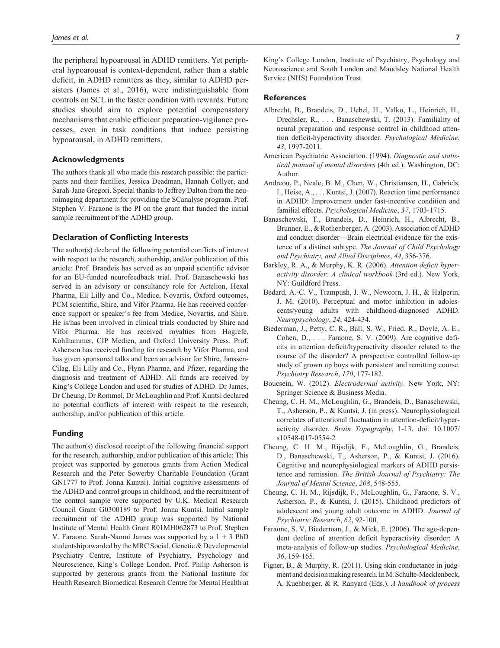the peripheral hypoarousal in ADHD remitters. Yet peripheral hypoarousal is context-dependent, rather than a stable deficit, in ADHD remitters as they, similar to ADHD persisters (James et al., 2016), were indistinguishable from controls on SCL in the faster condition with rewards. Future studies should aim to explore potential compensatory mechanisms that enable efficient preparation-vigilance processes, even in task conditions that induce persisting hypoarousal, in ADHD remitters.

#### **Acknowledgments**

The authors thank all who made this research possible: the participants and their families, Jessica Deadman, Hannah Collyer, and Sarah-Jane Gregori. Special thanks to Jeffrey Dalton from the neuroimaging department for providing the SCanalyse program. Prof. Stephen V. Faraone is the PI on the grant that funded the initial sample recruitment of the ADHD group.

#### **Declaration of Conflicting Interests**

The author(s) declared the following potential conflicts of interest with respect to the research, authorship, and/or publication of this article: Prof. Brandeis has served as an unpaid scientific advisor for an EU-funded neurofeedback trial. Prof. Banaschewski has served in an advisory or consultancy role for Actelion, Hexal Pharma, Eli Lilly and Co., Medice, Novartis, Oxford outcomes, PCM scientific, Shire, and Vifor Pharma. He has received conference support or speaker's fee from Medice, Novartis, and Shire. He is/has been involved in clinical trials conducted by Shire and Vifor Pharma. He has received royalties from Hogrefe, Kohlhammer, CIP Medien, and Oxford University Press. Prof. Asherson has received funding for research by Vifor Pharma, and has given sponsored talks and been an advisor for Shire, Janssen-Cilag, Eli Lilly and Co., Flynn Pharma, and Pfizer, regarding the diagnosis and treatment of ADHD. All funds are received by King's College London and used for studies of ADHD. Dr James, Dr Cheung, Dr Rommel, Dr McLoughlin and Prof. Kuntsi declared no potential conflicts of interest with respect to the research, authorship, and/or publication of this article.

#### **Funding**

The author(s) disclosed receipt of the following financial support for the research, authorship, and/or publication of this article: This project was supported by generous grants from Action Medical Research and the Peter Sowerby Charitable Foundation (Grant GN1777 to Prof. Jonna Kuntsi). Initial cognitive assessments of the ADHD and control groups in childhood, and the recruitment of the control sample were supported by U.K. Medical Research Council Grant G0300189 to Prof. Jonna Kuntsi. Initial sample recruitment of the ADHD group was supported by National Institute of Mental Health Grant R01MH062873 to Prof. Stephen V. Faraone. Sarah-Naomi James was supported by a  $1 + 3$  PhD studentship awarded by the MRC Social, Genetic & Developmental Psychiatry Centre, Institute of Psychiatry, Psychology and Neuroscience, King's College London. Prof. Philip Asherson is supported by generous grants from the National Institute for Health Research Biomedical Research Centre for Mental Health at King's College London, Institute of Psychiatry, Psychology and Neuroscience and South London and Maudsley National Health Service (NHS) Foundation Trust.

#### **References**

- Albrecht, B., Brandeis, D., Uebel, H., Valko, L., Heinrich, H., Drechsler, R., . . . Banaschewski, T. (2013). Familiality of neural preparation and response control in childhood attention deficit-hyperactivity disorder. *Psychological Medicine*, *43*, 1997-2011.
- American Psychiatric Association. (1994). *Diagnostic and statistical manual of mental disorders* (4th ed.). Washington, DC: Author.
- Andreou, P., Neale, B. M., Chen, W., Christiansen, H., Gabriels, I., Heise, A., . . . Kuntsi, J. (2007). Reaction time performance in ADHD: Improvement under fast-incentive condition and familial effects. *Psychological Medicine*, *37*, 1703-1715.
- Banaschewski, T., Brandeis, D., Heinrich, H., Albrecht, B., Brunner, E., & Rothenberger, A. (2003). Association of ADHD and conduct disorder—Brain electrical evidence for the existence of a distinct subtype. *The Journal of Child Psychology and Psychiatry, and Allied Disciplines*, *44*, 356-376.
- Barkley, R. A., & Murphy, K. R. (2006). *Attention deficit hyperactivity disorder: A clinical workbook* (3rd ed.). New York, NY: Guildford Press.
- Bédard, A.-C. V., Trampush, J. W., Newcorn, J. H., & Halperin, J. M. (2010). Perceptual and motor inhibition in adolescents/young adults with childhood-diagnosed ADHD. *Neuropsychology*, *24*, 424-434.
- Biederman, J., Petty, C. R., Ball, S. W., Fried, R., Doyle, A. E., Cohen, D., . . . Faraone, S. V. (2009). Are cognitive deficits in attention deficit/hyperactivity disorder related to the course of the disorder? A prospective controlled follow-up study of grown up boys with persistent and remitting course. *Psychiatry Research*, *170*, 177-182.
- Boucsein, W. (2012). *Electrodermal activity*. New York, NY: Springer Science & Business Media.
- Cheung, C. H. M., McLoughlin, G., Brandeis, D., Banaschewski, T., Asherson, P., & Kuntsi, J. (in press). Neurophysiological correlates of attentional fluctuation in attention-deficit/hyperactivity disorder. *Brain Topography*, 1-13. doi: 10.1007/ s10548-017-0554-2
- Cheung, C. H. M., Rijsdijk, F., McLoughlin, G., Brandeis, D., Banaschewski, T., Asherson, P., & Kuntsi, J. (2016). Cognitive and neurophysiological markers of ADHD persistence and remission. *The British Journal of Psychiatry: The Journal of Mental Science*, *208*, 548-555.
- Cheung, C. H. M., Rijsdijk, F., McLoughlin, G., Faraone, S. V., Asherson, P., & Kuntsi, J. (2015). Childhood predictors of adolescent and young adult outcome in ADHD. *Journal of Psychiatric Research*, *62*, 92-100.
- Faraone, S. V, Biederman, J., & Mick, E. (2006). The age-dependent decline of attention deficit hyperactivity disorder: A meta-analysis of follow-up studies. *Psychological Medicine*, *36*, 159-165.
- Figner, B., & Murphy, R. (2011). Using skin conductance in judgment and decision making research. In M. Schulte-Mecklenbeck, A. Kuehberger, & R. Ranyard (Eds.), *A handbook of process*